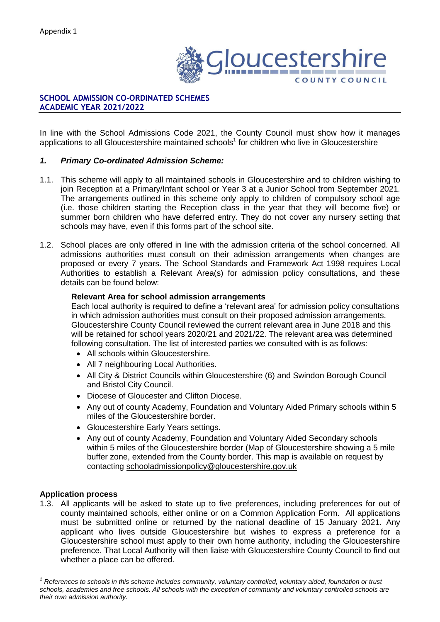

# **SCHOOL ADMISSION CO-ORDINATED SCHEMES ACADEMIC YEAR 2021/2022**

In line with the School Admissions Code 2021, the County Council must show how it manages applications to all Gloucestershire maintained schools<sup>1</sup> for children who live in Gloucestershire

# *1. Primary Co-ordinated Admission Scheme:*

- 1.1. This scheme will apply to all maintained schools in Gloucestershire and to children wishing to join Reception at a Primary/Infant school or Year 3 at a Junior School from September 2021. The arrangements outlined in this scheme only apply to children of compulsory school age (i.e. those children starting the Reception class in the year that they will become five) or summer born children who have deferred entry. They do not cover any nursery setting that schools may have, even if this forms part of the school site.
- 1.2. School places are only offered in line with the admission criteria of the school concerned. All admissions authorities must consult on their admission arrangements when changes are proposed or every 7 years. The School Standards and Framework Act 1998 requires Local Authorities to establish a Relevant Area(s) for admission policy consultations, and these details can be found below:

## **Relevant Area for school admission arrangements**

Each local authority is required to define a 'relevant area' for admission policy consultations in which admission authorities must consult on their proposed admission arrangements. Gloucestershire County Council reviewed the current relevant area in June 2018 and this will be retained for school years 2020/21 and 2021/22. The relevant area was determined following consultation. The list of interested parties we consulted with is as follows:

- All schools within Gloucestershire.
- All 7 neighbouring Local Authorities.
- All City & District Councils within Gloucestershire (6) and Swindon Borough Council and Bristol City Council.
- Diocese of Gloucester and Clifton Diocese.
- Any out of county Academy, Foundation and Voluntary Aided Primary schools within 5 miles of the Gloucestershire border.
- Gloucestershire Early Years settings.
- Any out of county Academy, Foundation and Voluntary Aided Secondary schools within 5 miles of the Gloucestershire border (Map of Gloucestershire showing a 5 mile buffer zone, extended from the County border. This map is available on request by contacting [schooladmissionpolicy@gloucestershire.gov.uk](mailto:schooladmissionpolicy@gloucestershire.gov.uk)

## **Application process**

1.3. All applicants will be asked to state up to five preferences, including preferences for out of county maintained schools, either online or on a Common Application Form. All applications must be submitted online or returned by the national deadline of 15 January 2021. Any applicant who lives outside Gloucestershire but wishes to express a preference for a Gloucestershire school must apply to their own home authority, including the Gloucestershire preference. That Local Authority will then liaise with Gloucestershire County Council to find out whether a place can be offered.

*<sup>1</sup> References to schools in this scheme includes community, voluntary controlled, voluntary aided, foundation or trust schools, academies and free schools. All schools with the exception of community and voluntary controlled schools are their own admission authority.*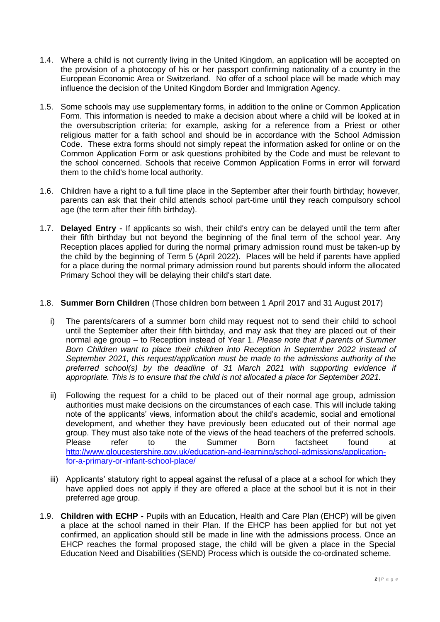- 1.4. Where a child is not currently living in the United Kingdom, an application will be accepted on the provision of a photocopy of his or her passport confirming nationality of a country in the European Economic Area or Switzerland. No offer of a school place will be made which may influence the decision of the United Kingdom Border and Immigration Agency.
- 1.5. Some schools may use supplementary forms, in addition to the online or Common Application Form. This information is needed to make a decision about where a child will be looked at in the oversubscription criteria; for example, asking for a reference from a Priest or other religious matter for a faith school and should be in accordance with the School Admission Code. These extra forms should not simply repeat the information asked for online or on the Common Application Form or ask questions prohibited by the Code and must be relevant to the school concerned. Schools that receive Common Application Forms in error will forward them to the child's home local authority.
- 1.6. Children have a right to a full time place in the September after their fourth birthday; however, parents can ask that their child attends school part-time until they reach compulsory school age (the term after their fifth birthday).
- 1.7. **Delayed Entry -** If applicants so wish, their child's entry can be delayed until the term after their fifth birthday but not beyond the beginning of the final term of the school year. Any Reception places applied for during the normal primary admission round must be taken-up by the child by the beginning of Term 5 (April 2022). Places will be held if parents have applied for a place during the normal primary admission round but parents should inform the allocated Primary School they will be delaying their child's start date.

# 1.8. **Summer Born Children** (Those children born between 1 April 2017 and 31 August 2017)

- i) The parents/carers of a summer born child may request not to send their child to school until the September after their fifth birthday, and may ask that they are placed out of their normal age group – to Reception instead of Year 1. *Please note that if parents of Summer Born Children want to place their children into Reception in September 2022 instead of September 2021, this request/application must be made to the admissions authority of the preferred school(s) by the deadline of 31 March 2021 with supporting evidence if appropriate. This is to ensure that the child is not allocated a place for September 2021.*
- ii) Following the request for a child to be placed out of their normal age group, admission authorities must make decisions on the circumstances of each case. This will include taking note of the applicants' views, information about the child's academic, social and emotional development, and whether they have previously been educated out of their normal age group. They must also take note of the views of the head teachers of the preferred schools. Please refer to the Summer Born factsheet found at [http://www.gloucestershire.gov.uk/education-and-learning/school-admissions/application](http://www.gloucestershire.gov.uk/education-and-learning/school-admissions/application-for-a-primary-or-infant-school-place/)[for-a-primary-or-infant-school-place/](http://www.gloucestershire.gov.uk/education-and-learning/school-admissions/application-for-a-primary-or-infant-school-place/)
- iii) Applicants' statutory right to appeal against the refusal of a place at a school for which they have applied does not apply if they are offered a place at the school but it is not in their preferred age group.
- 1.9. **Children with ECHP -** Pupils with an Education, Health and Care Plan (EHCP) will be given a place at the school named in their Plan. If the EHCP has been applied for but not yet confirmed, an application should still be made in line with the admissions process. Once an EHCP reaches the formal proposed stage, the child will be given a place in the Special Education Need and Disabilities (SEND) Process which is outside the co-ordinated scheme.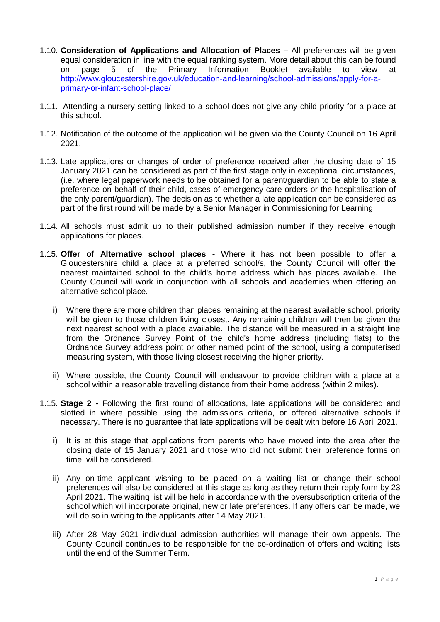- 1.10. **Consideration of Applications and Allocation of Places –** All preferences will be given equal consideration in line with the equal ranking system. More detail about this can be found on page 5 of the Primary Information Booklet available to view at [http://www.gloucestershire.gov.uk/education-and-learning/school-admissions/apply-for-a](http://www.gloucestershire.gov.uk/education-and-learning/school-admissions/apply-for-a-primary-or-infant-school-place/)[primary-or-infant-school-place/](http://www.gloucestershire.gov.uk/education-and-learning/school-admissions/apply-for-a-primary-or-infant-school-place/)
- 1.11. Attending a nursery setting linked to a school does not give any child priority for a place at this school.
- 1.12. Notification of the outcome of the application will be given via the County Council on 16 April 2021.
- 1.13. Late applications or changes of order of preference received after the closing date of 15 January 2021 can be considered as part of the first stage only in exceptional circumstances, (i.e. where legal paperwork needs to be obtained for a parent/guardian to be able to state a preference on behalf of their child, cases of emergency care orders or the hospitalisation of the only parent/guardian). The decision as to whether a late application can be considered as part of the first round will be made by a Senior Manager in Commissioning for Learning.
- 1.14. All schools must admit up to their published admission number if they receive enough applications for places.
- 1.15. **Offer of Alternative school places -** Where it has not been possible to offer a Gloucestershire child a place at a preferred school/s, the County Council will offer the nearest maintained school to the child's home address which has places available. The County Council will work in conjunction with all schools and academies when offering an alternative school place.
	- i) Where there are more children than places remaining at the nearest available school, priority will be given to those children living closest. Any remaining children will then be given the next nearest school with a place available. The distance will be measured in a straight line from the Ordnance Survey Point of the child's home address (including flats) to the Ordnance Survey address point or other named point of the school, using a computerised measuring system, with those living closest receiving the higher priority.
	- ii) Where possible, the County Council will endeavour to provide children with a place at a school within a reasonable travelling distance from their home address (within 2 miles).
- 1.15. **Stage 2 -** Following the first round of allocations, late applications will be considered and slotted in where possible using the admissions criteria, or offered alternative schools if necessary. There is no guarantee that late applications will be dealt with before 16 April 2021.
	- i) It is at this stage that applications from parents who have moved into the area after the closing date of 15 January 2021 and those who did not submit their preference forms on time, will be considered.
	- ii) Any on-time applicant wishing to be placed on a waiting list or change their school preferences will also be considered at this stage as long as they return their reply form by 23 April 2021. The waiting list will be held in accordance with the oversubscription criteria of the school which will incorporate original, new or late preferences. If any offers can be made, we will do so in writing to the applicants after 14 May 2021.
	- iii) After 28 May 2021 individual admission authorities will manage their own appeals. The County Council continues to be responsible for the co-ordination of offers and waiting lists until the end of the Summer Term.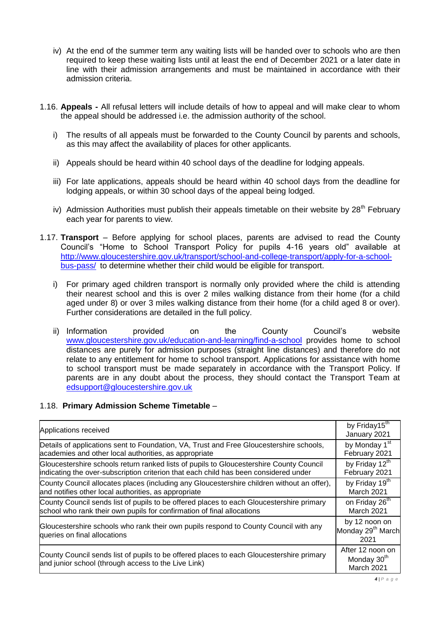- iv) At the end of the summer term any waiting lists will be handed over to schools who are then required to keep these waiting lists until at least the end of December 2021 or a later date in line with their admission arrangements and must be maintained in accordance with their admission criteria.
- 1.16. **Appeals -** All refusal letters will include details of how to appeal and will make clear to whom the appeal should be addressed i.e. the admission authority of the school.
	- i) The results of all appeals must be forwarded to the County Council by parents and schools, as this may affect the availability of places for other applicants.
	- ii) Appeals should be heard within 40 school days of the deadline for lodging appeals.
	- iii) For late applications, appeals should be heard within 40 school days from the deadline for lodging appeals, or within 30 school days of the appeal being lodged.
	- iv) Admission Authorities must publish their appeals timetable on their website by  $28<sup>th</sup>$  February each year for parents to view.
- 1.17. **Transport** Before applying for school places, parents are advised to read the County Council's "Home to School Transport Policy for pupils 4-16 years old" available at [http://www.gloucestershire.gov.uk/transport/school-and-college-transport/apply-for-a-school](http://www.gloucestershire.gov.uk/transport/school-and-college-transport/apply-for-a-school-bus-pass/)[bus-pass/](http://www.gloucestershire.gov.uk/transport/school-and-college-transport/apply-for-a-school-bus-pass/) to determine whether their child would be eligible for transport.
	- i) For primary aged children transport is normally only provided where the child is attending their nearest school and this is over 2 miles walking distance from their home (for a child aged under 8) or over 3 miles walking distance from their home (for a child aged 8 or over). Further considerations are detailed in the full policy.
	- ii) Information provided on the County Council's website [www.gloucestershire.gov.uk/education-and-learning/find-a-school](http://www.gloucestershire.gov.uk/education-and-learning/find-a-school) provides home to school distances are purely for admission purposes (straight line distances) and therefore do not relate to any entitlement for home to school transport. Applications for assistance with home to school transport must be made separately in accordance with the Transport Policy. If parents are in any doubt about the process, they should contact the Transport Team at [edsupport@gloucestershire.gov.uk](mailto:edsupport@gloucestershire.gov.uk)

# 1.18. **Primary Admission Scheme Timetable** –

| Applications received                                                                                                                           | by Friday15 <sup>th</sup><br>January 2021                 |
|-------------------------------------------------------------------------------------------------------------------------------------------------|-----------------------------------------------------------|
| Details of applications sent to Foundation, VA, Trust and Free Gloucestershire schools,                                                         | by Monday 1 <sup>st</sup>                                 |
| academies and other local authorities, as appropriate                                                                                           | February 2021                                             |
| Gloucestershire schools return ranked lists of pupils to Gloucestershire County Council                                                         | by Friday 12 <sup>th</sup>                                |
| indicating the over-subscription criterion that each child has been considered under                                                            | February 2021                                             |
| County Council allocates places (including any Gloucestershire children without an offer),                                                      | by Friday 19 <sup>th</sup>                                |
| and notifies other local authorities, as appropriate                                                                                            | March 2021                                                |
| County Council sends list of pupils to be offered places to each Gloucestershire primary                                                        | on Friday 26 <sup>th</sup>                                |
| school who rank their own pupils for confirmation of final allocations                                                                          | March 2021                                                |
| Gloucestershire schools who rank their own pupils respond to County Council with any<br>queries on final allocations                            | by 12 noon on<br>Monday 29 <sup>th</sup> March<br>2021    |
| County Council sends list of pupils to be offered places to each Gloucestershire primary<br>and junior school (through access to the Live Link) | After 12 noon on<br>Monday 30 <sup>th</sup><br>March 2021 |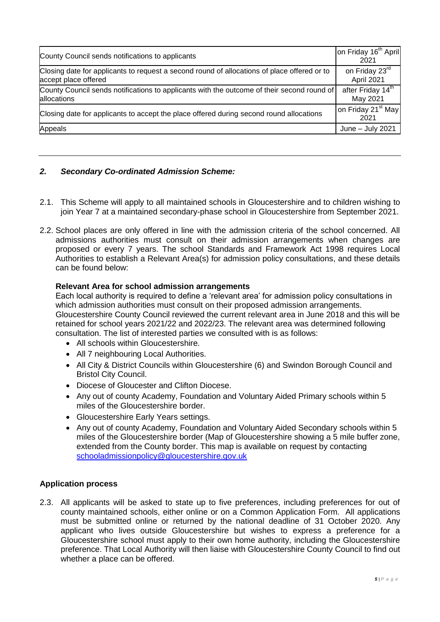| County Council sends notifications to applicants                                                                    | on Friday 16 <sup>th</sup> April<br>2021  |
|---------------------------------------------------------------------------------------------------------------------|-------------------------------------------|
| Closing date for applicants to request a second round of allocations of place offered or to<br>accept place offered | on Friday 23 <sup>rd</sup><br>April 2021  |
| County Council sends notifications to applicants with the outcome of their second round of<br>allocations           | after Friday 14 <sup>th</sup><br>May 2021 |
| Closing date for applicants to accept the place offered during second round allocations                             | on Friday 21 <sup>st</sup> May<br>2021    |
| Appeals                                                                                                             | June $-$ July 2021                        |

# *2. Secondary Co-ordinated Admission Scheme:*

- 2.1. This Scheme will apply to all maintained schools in Gloucestershire and to children wishing to join Year 7 at a maintained secondary-phase school in Gloucestershire from September 2021.
- 2.2. School places are only offered in line with the admission criteria of the school concerned. All admissions authorities must consult on their admission arrangements when changes are proposed or every 7 years. The school Standards and Framework Act 1998 requires Local Authorities to establish a Relevant Area(s) for admission policy consultations, and these details can be found below:

## **Relevant Area for school admission arrangements**

Each local authority is required to define a 'relevant area' for admission policy consultations in which admission authorities must consult on their proposed admission arrangements. Gloucestershire County Council reviewed the current relevant area in June 2018 and this will be retained for school years 2021/22 and 2022/23. The relevant area was determined following consultation. The list of interested parties we consulted with is as follows:

- All schools within Gloucestershire.
- All 7 neighbouring Local Authorities.
- All City & District Councils within Gloucestershire (6) and Swindon Borough Council and Bristol City Council.
- Diocese of Gloucester and Clifton Diocese.
- Any out of county Academy, Foundation and Voluntary Aided Primary schools within 5 miles of the Gloucestershire border.
- Gloucestershire Early Years settings.
- Any out of county Academy, Foundation and Voluntary Aided Secondary schools within 5 miles of the Gloucestershire border (Map of Gloucestershire showing a 5 mile buffer zone, extended from the County border. This map is available on request by contacting [schooladmissionpolicy@gloucestershire.gov.uk](mailto:schooladmissionpolicy@gloucestershire.gov.uk)

## **Application process**

2.3. All applicants will be asked to state up to five preferences, including preferences for out of county maintained schools, either online or on a Common Application Form. All applications must be submitted online or returned by the national deadline of 31 October 2020. Any applicant who lives outside Gloucestershire but wishes to express a preference for a Gloucestershire school must apply to their own home authority, including the Gloucestershire preference. That Local Authority will then liaise with Gloucestershire County Council to find out whether a place can be offered.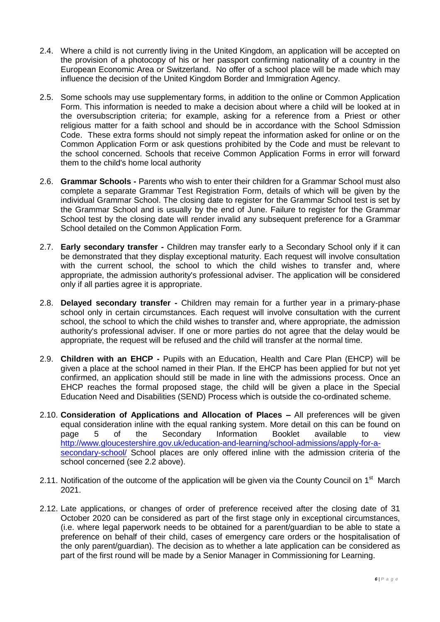- 2.4. Where a child is not currently living in the United Kingdom, an application will be accepted on the provision of a photocopy of his or her passport confirming nationality of a country in the European Economic Area or Switzerland. No offer of a school place will be made which may influence the decision of the United Kingdom Border and Immigration Agency.
- 2.5. Some schools may use supplementary forms, in addition to the online or Common Application Form. This information is needed to make a decision about where a child will be looked at in the oversubscription criteria; for example, asking for a reference from a Priest or other religious matter for a faith school and should be in accordance with the School Sdmission Code. These extra forms should not simply repeat the information asked for online or on the Common Application Form or ask questions prohibited by the Code and must be relevant to the school concerned. Schools that receive Common Application Forms in error will forward them to the child's home local authority
- 2.6. **Grammar Schools -** Parents who wish to enter their children for a Grammar School must also complete a separate Grammar Test Registration Form, details of which will be given by the individual Grammar School. The closing date to register for the Grammar School test is set by the Grammar School and is usually by the end of June. Failure to register for the Grammar School test by the closing date will render invalid any subsequent preference for a Grammar School detailed on the Common Application Form.
- 2.7. **Early secondary transfer -** Children may transfer early to a Secondary School only if it can be demonstrated that they display exceptional maturity. Each request will involve consultation with the current school, the school to which the child wishes to transfer and, where appropriate, the admission authority's professional adviser. The application will be considered only if all parties agree it is appropriate.
- 2.8. **Delayed secondary transfer -** Children may remain for a further year in a primary-phase school only in certain circumstances. Each request will involve consultation with the current school, the school to which the child wishes to transfer and, where appropriate, the admission authority's professional adviser. If one or more parties do not agree that the delay would be appropriate, the request will be refused and the child will transfer at the normal time.
- 2.9. **Children with an EHCP -** Pupils with an Education, Health and Care Plan (EHCP) will be given a place at the school named in their Plan. If the EHCP has been applied for but not yet confirmed, an application should still be made in line with the admissions process. Once an EHCP reaches the formal proposed stage, the child will be given a place in the Special Education Need and Disabilities (SEND) Process which is outside the co-ordinated scheme.
- 2.10. **Consideration of Applications and Allocation of Places –** All preferences will be given equal consideration inline with the equal ranking system. More detail on this can be found on page 5 of the Secondary Information Booklet available to view [http://www.gloucestershire.gov.uk/education-and-learning/school-admissions/apply-for-a](http://www.gloucestershire.gov.uk/education-and-learning/school-admissions/apply-for-a-secondary-school/)[secondary-school/](http://www.gloucestershire.gov.uk/education-and-learning/school-admissions/apply-for-a-secondary-school/) School places are only offered inline with the admission criteria of the school concerned (see 2.2 above).
- 2.11. Notification of the outcome of the application will be given via the County Council on  $1<sup>st</sup>$  March 2021.
- 2.12. Late applications, or changes of order of preference received after the closing date of 31 October 2020 can be considered as part of the first stage only in exceptional circumstances, (i.e. where legal paperwork needs to be obtained for a parent/guardian to be able to state a preference on behalf of their child, cases of emergency care orders or the hospitalisation of the only parent/guardian). The decision as to whether a late application can be considered as part of the first round will be made by a Senior Manager in Commissioning for Learning.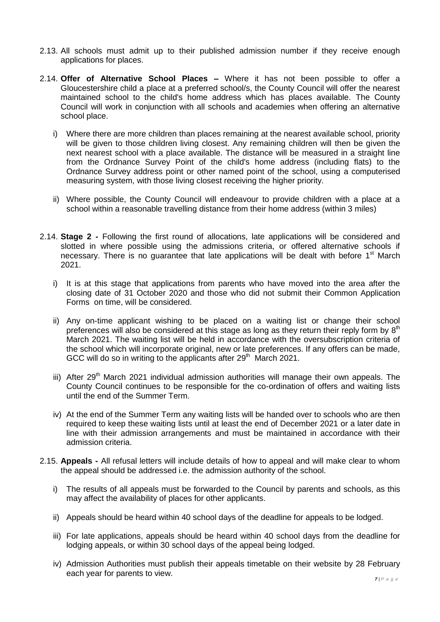- 2.13. All schools must admit up to their published admission number if they receive enough applications for places.
- 2.14. **Offer of Alternative School Places –** Where it has not been possible to offer a Gloucestershire child a place at a preferred school/s, the County Council will offer the nearest maintained school to the child's home address which has places available. The County Council will work in conjunction with all schools and academies when offering an alternative school place.
	- i) Where there are more children than places remaining at the nearest available school, priority will be given to those children living closest. Any remaining children will then be given the next nearest school with a place available. The distance will be measured in a straight line from the Ordnance Survey Point of the child's home address (including flats) to the Ordnance Survey address point or other named point of the school, using a computerised measuring system, with those living closest receiving the higher priority.
	- ii) Where possible, the County Council will endeavour to provide children with a place at a school within a reasonable travelling distance from their home address (within 3 miles)
- 2.14. **Stage 2 -** Following the first round of allocations, late applications will be considered and slotted in where possible using the admissions criteria, or offered alternative schools if necessary. There is no guarantee that late applications will be dealt with before 1<sup>st</sup> March 2021.
	- i) It is at this stage that applications from parents who have moved into the area after the closing date of 31 October 2020 and those who did not submit their Common Application Forms on time, will be considered.
	- ii) Any on-time applicant wishing to be placed on a waiting list or change their school preferences will also be considered at this stage as long as they return their reply form by  $8<sup>th</sup>$ March 2021. The waiting list will be held in accordance with the oversubscription criteria of the school which will incorporate original, new or late preferences. If any offers can be made, GCC will do so in writing to the applicants after  $29<sup>th</sup>$  March 2021.
	- iii) After 29<sup>th</sup> March 2021 individual admission authorities will manage their own appeals. The County Council continues to be responsible for the co-ordination of offers and waiting lists until the end of the Summer Term.
	- iv) At the end of the Summer Term any waiting lists will be handed over to schools who are then required to keep these waiting lists until at least the end of December 2021 or a later date in line with their admission arrangements and must be maintained in accordance with their admission criteria.
- 2.15. **Appeals -** All refusal letters will include details of how to appeal and will make clear to whom the appeal should be addressed i.e. the admission authority of the school.
	- i) The results of all appeals must be forwarded to the Council by parents and schools, as this may affect the availability of places for other applicants.
	- ii) Appeals should be heard within 40 school days of the deadline for appeals to be lodged.
	- iii) For late applications, appeals should be heard within 40 school days from the deadline for lodging appeals, or within 30 school days of the appeal being lodged.
	- iv) Admission Authorities must publish their appeals timetable on their website by 28 February each year for parents to view.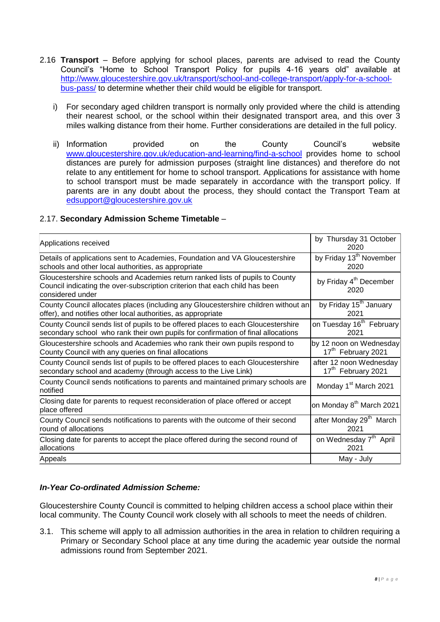- 2.16 **Transport** Before applying for school places, parents are advised to read the County Council's "Home to School Transport Policy for pupils 4-16 years old" available at [http://www.gloucestershire.gov.uk/transport/school-and-college-transport/apply-for-a-school](http://www.gloucestershire.gov.uk/transport/school-and-college-transport/apply-for-a-school-bus-pass/)[bus-pass/](http://www.gloucestershire.gov.uk/transport/school-and-college-transport/apply-for-a-school-bus-pass/) to determine whether their child would be eligible for transport.
	- i) For secondary aged children transport is normally only provided where the child is attending their nearest school, or the school within their designated transport area, and this over 3 miles walking distance from their home. Further considerations are detailed in the full policy.
	- ii) Information provided on the County Council's website [www.gloucestershire.gov.uk/education-and-learning/find-a-school](http://www.gloucestershire.gov.uk/education-and-learning/find-a-school) provides home to school distances are purely for admission purposes (straight line distances) and therefore do not relate to any entitlement for home to school transport. Applications for assistance with home to school transport must be made separately in accordance with the transport policy. If parents are in any doubt about the process, they should contact the Transport Team at [edsupport@gloucestershire.gov.uk](mailto:edsupport@gloucestershire.gov.uk)

# 2.17. **Secondary Admission Scheme Timetable** –

| Applications received                                                                                                                                                            | by Thursday 31 October<br>2020             |
|----------------------------------------------------------------------------------------------------------------------------------------------------------------------------------|--------------------------------------------|
| Details of applications sent to Academies, Foundation and VA Gloucestershire                                                                                                     | by Friday 13 <sup>th</sup> November        |
| schools and other local authorities, as appropriate                                                                                                                              | 2020                                       |
| Gloucestershire schools and Academies return ranked lists of pupils to County<br>Council indicating the over-subscription criterion that each child has been<br>considered under | by Friday 4 <sup>th</sup> December<br>2020 |
| County Council allocates places (including any Gloucestershire children without an                                                                                               | by Friday 15 <sup>th</sup> January         |
| offer), and notifies other local authorities, as appropriate                                                                                                                     | 2021                                       |
| County Council sends list of pupils to be offered places to each Gloucestershire                                                                                                 | on Tuesday 16 <sup>th</sup> February       |
| secondary school who rank their own pupils for confirmation of final allocations                                                                                                 | 2021                                       |
| Gloucestershire schools and Academies who rank their own pupils respond to                                                                                                       | by 12 noon on Wednesday                    |
| County Council with any queries on final allocations                                                                                                                             | 17 <sup>th</sup> February 2021             |
| County Council sends list of pupils to be offered places to each Gloucestershire                                                                                                 | after 12 noon Wednesday                    |
| secondary school and academy (through access to the Live Link)                                                                                                                   | 17 <sup>th</sup> February 2021             |
| County Council sends notifications to parents and maintained primary schools are<br>notified                                                                                     | Monday 1 <sup>st</sup> March 2021          |
| Closing date for parents to request reconsideration of place offered or accept<br>place offered                                                                                  | on Monday 8 <sup>th</sup> March 2021       |
| County Council sends notifications to parents with the outcome of their second                                                                                                   | after Monday 29 <sup>th</sup> March        |
| round of allocations                                                                                                                                                             | 2021                                       |
| Closing date for parents to accept the place offered during the second round of                                                                                                  | on Wednesday 7 <sup>th</sup> April         |
| allocations                                                                                                                                                                      | 2021                                       |
| Appeals                                                                                                                                                                          | May - July                                 |

# *In-Year Co-ordinated Admission Scheme:*

Gloucestershire County Council is committed to helping children access a school place within their local community. The County Council work closely with all schools to meet the needs of children.

3.1. This scheme will apply to all admission authorities in the area in relation to children requiring a Primary or Secondary School place at any time during the academic year outside the normal admissions round from September 2021.